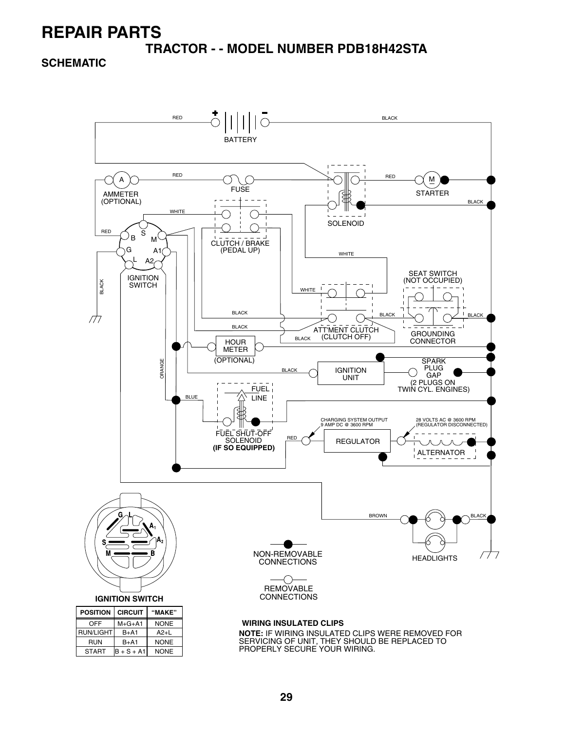**TRACTOR - - MODEL NUMBER PDB18H42STA**

**SCHEMATIC**

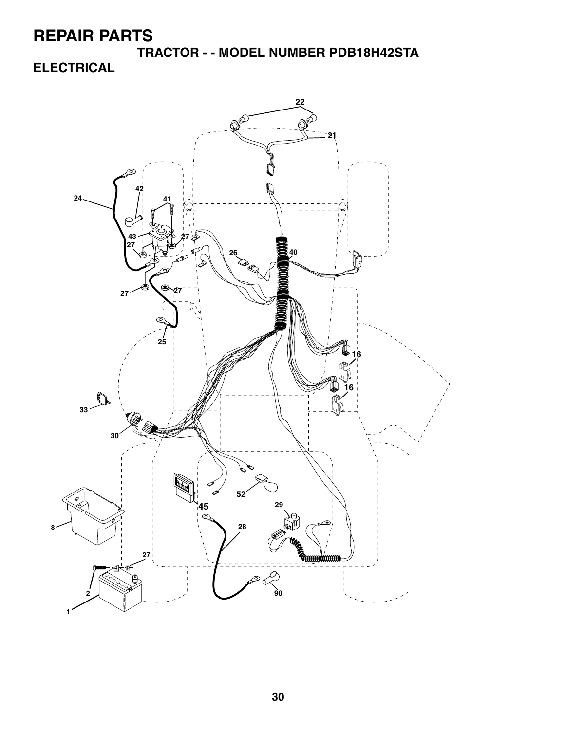**TRACTOR - - MODEL NUMBER PDB18H42STA ELECTRICAL**

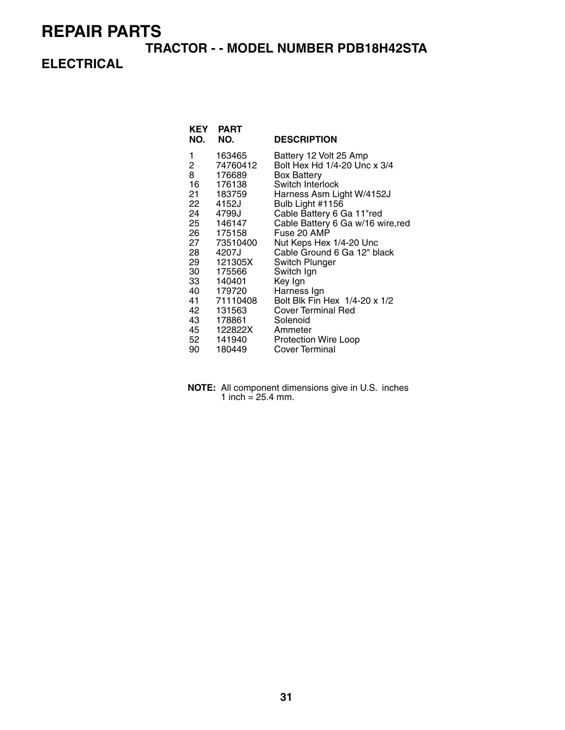#### **TRACTOR - - MODEL NUMBER PDB18H42STA**

### **ELECTRICAL**

| KEY<br>NO. | <b>PART</b><br>NO. | <b>DESCRIPTION</b>                |
|------------|--------------------|-----------------------------------|
| 1          | 163465             | Battery 12 Volt 25 Amp            |
| 2          | 74760412           | Bolt Hex Hd 1/4-20 Unc x 3/4      |
| 8          | 176689             | <b>Box Battery</b>                |
| 16         | 176138             | Switch Interlock                  |
| 21         | 183759             | Harness Asm Light W/4152J         |
| 22         | 4152J              | Bulb Light #1156                  |
| 24         | 4799J              | Cable Battery 6 Ga 11"red         |
| 25         | 146147             | Cable Battery 6 Ga w/16 wire, red |
| 26         | 175158             | Fuse 20 AMP                       |
| 27         | 73510400           | Nut Keps Hex 1/4-20 Unc           |
|            | 28 4207J           | Cable Ground 6 Ga 12" black       |
| 29         | 121305X            | Switch Plunger                    |
| 30         | 175566             | Switch Ign                        |
| 33         | 140401             | Key Ign                           |
| 40         | 179720             | Harness Ign                       |
| 41         | 71110408           | Bolt Blk Fin Hex 1/4-20 x 1/2     |
| 42         | 131563             | Cover Terminal Red                |
| 43         | 178861             | Solenoid                          |
| 45         | 122822X            | Ammeter                           |
|            | 52 141940          | Protection Wire Loop              |
| 90         | 180449             | Cover Terminal                    |
|            |                    |                                   |

**NOTE:** All component dimensions give in U.S. inches 1 inch =  $25.4$  mm.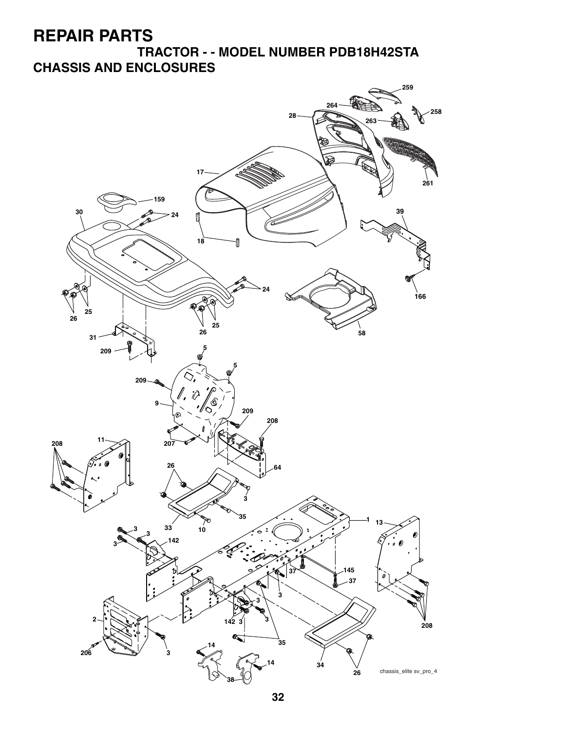**TRACTOR - - MODEL NUMBER PDB18H42STA CHASSIS AND ENCLOSURES**

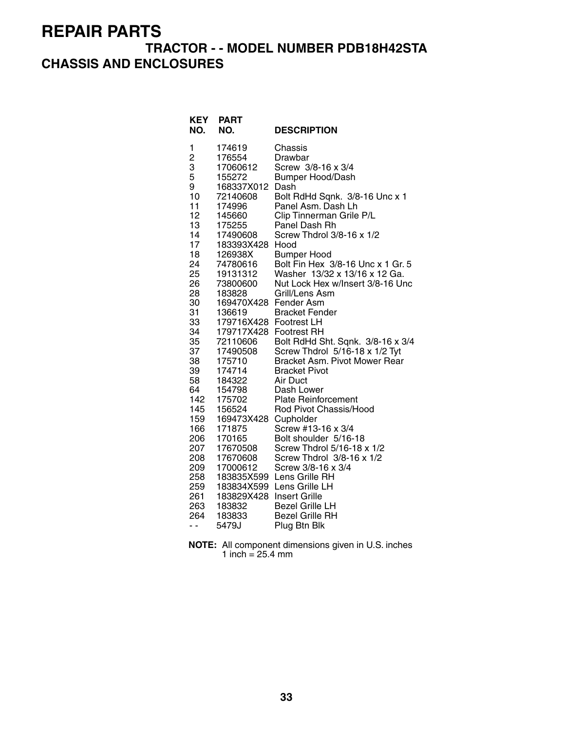### **TRACTOR - - MODEL NUMBER PDB18H42STA CHASSIS AND ENCLOSURES**

| KEY<br>NO. | <b>PART</b><br>NO.   | <b>DESCRIPTION</b>                  |
|------------|----------------------|-------------------------------------|
| 1          | 174619               | Chassis                             |
| 2          | 176554               | Drawbar                             |
| 3          | 17060612             | Screw 3/8-16 x 3/4                  |
| 5          | 155272               | <b>Bumper Hood/Dash</b>             |
| 9          | 168337X012           | Dash                                |
| 10         | 72140608             | Bolt RdHd Sqnk. 3/8-16 Unc x 1      |
| 11         | 174996               | Panel Asm. Dash Lh                  |
| 12         | 145660               | Clip Tinnerman Grile P/L            |
| 13         | 175255               | Panel Dash Rh                       |
| 14         | 17490608             | Screw Thdrol 3/8-16 x 1/2           |
| 17         | 183393X428           | Hood                                |
| 18         | 126938X              | <b>Bumper Hood</b>                  |
| 24         | 74780616             | Bolt Fin Hex 3/8-16 Unc x 1 Gr. 5   |
| 25         | 19131312             | Washer 13/32 x 13/16 x 12 Ga.       |
| 26         | 73800600             | Nut Lock Hex w/Insert 3/8-16 Unc    |
| 28<br>30   | 183828<br>169470X428 | Grill/Lens Asm                      |
| 31         | 136619               | Fender Asm<br><b>Bracket Fender</b> |
| 33         | 179716X428           | <b>Footrest LH</b>                  |
| 34         | 179717X428           | <b>Footrest RH</b>                  |
| 35         | 72110606             | Bolt RdHd Sht. Sqnk. 3/8-16 x 3/4   |
| 37         | 17490508             | Screw Thdrol 5/16-18 x 1/2 Tyt      |
| 38         | 175710               | Bracket Asm. Pivot Mower Rear       |
| 39         | 174714               | <b>Bracket Pivot</b>                |
| 58         | 184322               | Air Duct                            |
| 64         | 154798               | Dash Lower                          |
| 142        | 175702               | <b>Plate Reinforcement</b>          |
| 145        | 156524               | Rod Pivot Chassis/Hood              |
| 159        | 169473X428           | Cupholder                           |
| 166        | 171875               | Screw #13-16 x 3/4                  |
| 206        | 170165               | Bolt shoulder 5/16-18               |
| 207        | 17670508             | Screw Thdrol 5/16-18 x 1/2          |
| 208        | 17670608             | Screw Thdrol 3/8-16 x 1/2           |
| 209        | 17000612             | Screw 3/8-16 x 3/4                  |
| 258        | 183835X599           | Lens Grille RH                      |
| 259        | 183834X599           | Lens Grille LH                      |
| 261        | 183829X428           | <b>Insert Grille</b>                |
| 263        | 183832               | <b>Bezel Grille LH</b>              |
| 264        | 183833               | <b>Bezel Grille RH</b>              |
| - -        | 5479J                | Plug Btn Blk                        |

**NOTE:** All component dimensions given in U.S. inches 1 inch  $= 25.4$  mm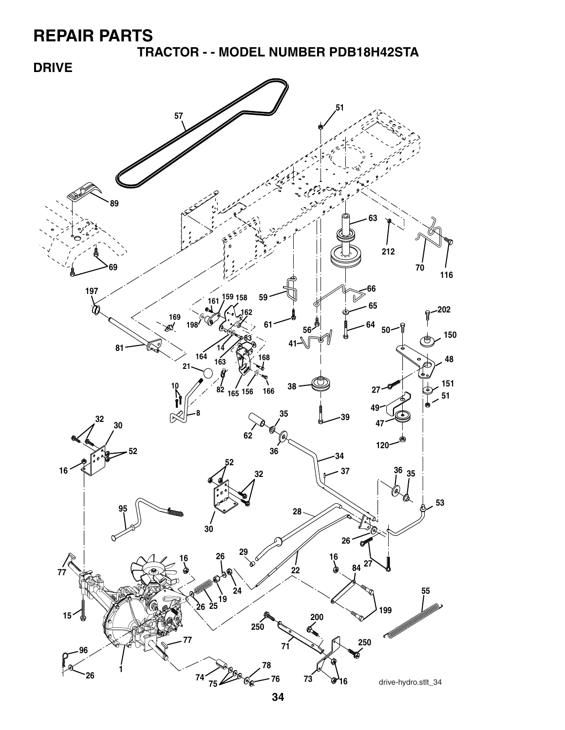**TRACTOR - - MODEL NUMBER PDB18H42STA**

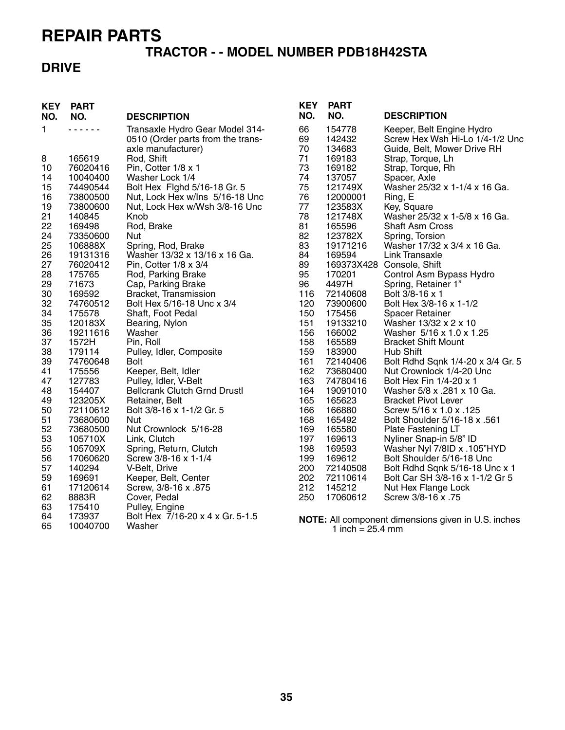#### **TRACTOR - - MODEL NUMBER PDB18H42STA**

#### **DRIVE**

| Transaxle Hydro Gear Model 314-<br>1<br>.<br>66<br>154778<br>Keeper, Belt Engine Hydro<br>0510 (Order parts from the trans-<br>69<br>142432<br>Screw Hex Wsh Hi-Lo 1/4-1/2 Unc<br>axle manufacturer)<br>70<br>134683<br>Guide, Belt, Mower Drive RH<br>71<br>169183<br>8<br>165619<br>Rod, Shift<br>Strap, Torque, Lh<br>76020416<br>73<br>169182<br>Strap, Torque, Rh<br>10<br>Pin, Cotter 1/8 x 1<br>74<br>137057<br>14<br>10040400<br>Washer Lock 1/4<br>Spacer, Axle<br>15<br>75<br>74490544<br>Bolt Hex Fighd 5/16-18 Gr. 5<br>121749X<br>Washer 25/32 x 1-1/4 x 16 Ga.<br>16<br>Nut, Lock Hex w/Ins 5/16-18 Unc<br>76<br>73800500<br>12000001<br>Ring, E<br>19<br>Nut, Lock Hex w/Wsh 3/8-16 Unc<br>77<br>123583X<br>Key, Square<br>73800600<br>21<br>78<br>121748X<br>Washer 25/32 x 1-5/8 x 16 Ga.<br>140845<br>Knob<br>22<br>81<br>169498<br>Rod, Brake<br>165596<br><b>Shaft Asm Cross</b><br>24<br>73350600<br>82<br>123782X<br>Nut<br>Spring, Torsion<br>25<br>83<br>Washer 17/32 x 3/4 x 16 Ga.<br>106888X<br>Spring, Rod, Brake<br>19171216<br>26<br>19131316<br>Washer 13/32 x 13/16 x 16 Ga.<br>84<br>169594<br><b>Link Transaxle</b><br>27<br>89<br>169373X428 Console, Shift<br>76020412<br>Pin, Cotter 1/8 x 3/4<br>28<br>95<br>175765<br>Rod, Parking Brake<br>170201<br>Control Asm Bypass Hydro<br>71673<br>4497H<br>Spring, Retainer 1"<br>29<br>Cap, Parking Brake<br>96<br>30<br>Bolt 3/8-16 x 1<br>Bracket, Transmission<br>116<br>72140608<br>169592<br>32<br>74760512<br>Bolt Hex 5/16-18 Unc x 3/4<br>120<br>73900600<br>Bolt Hex 3/8-16 x 1-1/2<br>34<br>175578<br>150<br>175456<br>Shaft, Foot Pedal<br><b>Spacer Retainer</b><br>35<br>151<br>120183X<br>Bearing, Nylon<br>19133210<br>Washer 13/32 x 2 x 10<br>36<br>156<br>19211616<br>166002<br>Washer 5/16 x 1.0 x 1.25<br>Washer<br>37<br>1572H<br>158<br>165589<br><b>Bracket Shift Mount</b><br>Pin, Roll<br>38<br>159<br>Pulley, Idler, Composite<br>183900<br>Hub Shift<br>179114<br>39<br><b>Bolt</b><br>161<br>72140406<br>Bolt Rdhd Sqnk 1/4-20 x 3/4 Gr. 5<br>74760648<br>41<br>162<br>175556<br>Keeper, Belt, Idler<br>73680400<br>Nut Crownlock 1/4-20 Unc | 47<br>163<br>127783<br>Pulley, Idler, V-Belt<br>74780416<br>Bolt Hex Fin 1/4-20 x 1<br>164<br>48<br>154407<br><b>Bellcrank Clutch Grnd Drustl</b><br>19091010<br>Washer 5/8 x .281 x 10 Ga.                                                                                                                                                                                  |
|-----------------------------------------------------------------------------------------------------------------------------------------------------------------------------------------------------------------------------------------------------------------------------------------------------------------------------------------------------------------------------------------------------------------------------------------------------------------------------------------------------------------------------------------------------------------------------------------------------------------------------------------------------------------------------------------------------------------------------------------------------------------------------------------------------------------------------------------------------------------------------------------------------------------------------------------------------------------------------------------------------------------------------------------------------------------------------------------------------------------------------------------------------------------------------------------------------------------------------------------------------------------------------------------------------------------------------------------------------------------------------------------------------------------------------------------------------------------------------------------------------------------------------------------------------------------------------------------------------------------------------------------------------------------------------------------------------------------------------------------------------------------------------------------------------------------------------------------------------------------------------------------------------------------------------------------------------------------------------------------------------------------------------------------------------------------------------------------------------------------------------------------------------------|------------------------------------------------------------------------------------------------------------------------------------------------------------------------------------------------------------------------------------------------------------------------------------------------------------------------------------------------------------------------------|
| 49<br>165<br>123205X<br>165623<br><b>Bracket Pivot Lever</b><br>Retainer, Belt<br>50<br>166<br>166880<br>72110612<br>Bolt 3/8-16 x 1-1/2 Gr. 5<br>Screw 5/16 x 1.0 x .125<br>51<br>168<br>165492<br>Bolt Shoulder 5/16-18 x .561<br>73680600<br>Nut<br>52<br>169<br>165580<br>73680500<br>Nut Crownlock 5/16-28<br>Plate Fastening LT<br>53<br>197<br>105710X<br>169613<br>Nyliner Snap-in 5/8" ID<br>Link, Clutch<br>55<br>105709X<br>Spring, Return, Clutch<br>198<br>169593<br>Washer Nyl 7/8ID x .105"HYD<br>56<br>199<br>17060620<br>Screw 3/8-16 x 1-1/4<br>169612<br>Bolt Shoulder 5/16-18 Unc                                                                                                                                                                                                                                                                                                                                                                                                                                                                                                                                                                                                                                                                                                                                                                                                                                                                                                                                                                                                                                                                                                                                                                                                                                                                                                                                                                                                                                                                                                                                                     |                                                                                                                                                                                                                                                                                                                                                                              |
|                                                                                                                                                                                                                                                                                                                                                                                                                                                                                                                                                                                                                                                                                                                                                                                                                                                                                                                                                                                                                                                                                                                                                                                                                                                                                                                                                                                                                                                                                                                                                                                                                                                                                                                                                                                                                                                                                                                                                                                                                                                                                                                                                           | 57<br>200<br>72140508<br>140294<br>V-Belt, Drive<br>Bolt Rdhd Sqnk 5/16-18 Unc x 1<br>202<br>59<br>169691<br>Keeper, Belt, Center<br>72110614<br>Bolt Car SH 3/8-16 x 1-1/2 Gr 5<br>61<br>212<br>17120614<br>Screw, 3/8-16 x .875<br>145212<br>Nut Hex Flange Lock<br>62<br>250<br>17060612<br>8883R<br>Cover, Pedal<br>Screw 3/8-16 x .75<br>63<br>175410<br>Pulley, Engine |
|                                                                                                                                                                                                                                                                                                                                                                                                                                                                                                                                                                                                                                                                                                                                                                                                                                                                                                                                                                                                                                                                                                                                                                                                                                                                                                                                                                                                                                                                                                                                                                                                                                                                                                                                                                                                                                                                                                                                                                                                                                                                                                                                                           |                                                                                                                                                                                                                                                                                                                                                                              |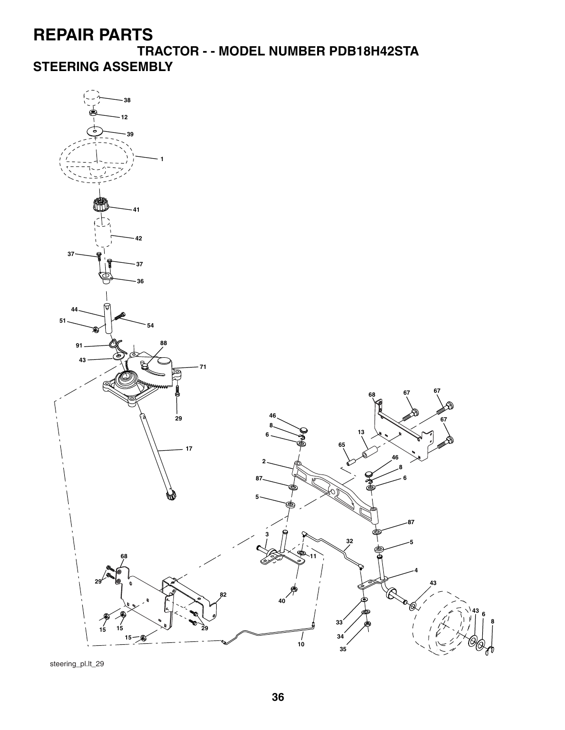**TRACTOR - - MODEL NUMBER PDB18H42STA STEERING ASSEMBLY**



steering\_pl.lt\_29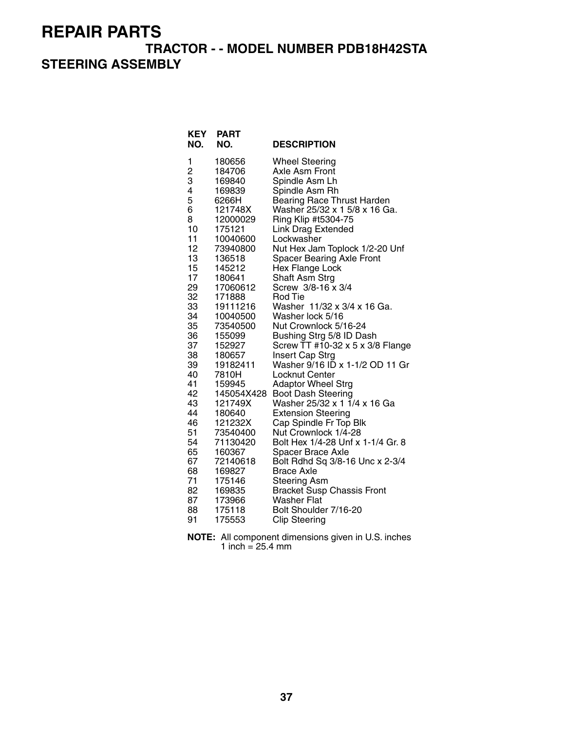#### **TRACTOR - - MODEL NUMBER PDB18H42STA STEERING ASSEMBLY**

| <b>KEY</b><br>NO. | <b>PART</b><br>NO. | <b>DESCRIPTION</b>                                      |
|-------------------|--------------------|---------------------------------------------------------|
| 1                 | 180656             | <b>Wheel Steering</b>                                   |
| 2<br>3            | 184706             | Axle Asm Front                                          |
|                   | 169840             | Spindle Asm Lh                                          |
| 4                 | 169839             | Spindle Asm Rh                                          |
| 5                 | 6266H              | Bearing Race Thrust Harden                              |
| 6                 | 121748X            | Washer 25/32 x 1 5/8 x 16 Ga.                           |
| 8                 | 12000029           | Ring Klip #t5304-75                                     |
| 10                | 175121             | <b>Link Drag Extended</b>                               |
| 11                | 10040600           | Lockwasher                                              |
| 12                | 73940800           | Nut Hex Jam Toplock 1/2-20 Unf                          |
| 13                | 136518             | <b>Spacer Bearing Axle Front</b>                        |
| 15                | 145212             | Hex Flange Lock                                         |
| 17                | 180641             | Shaft Asm Strg                                          |
| 29<br>32          | 17060612           | Screw 3/8-16 x 3/4<br>Rod Tie                           |
| 33                | 171888<br>19111216 | Washer 11/32 x 3/4 x 16 Ga.                             |
| 34                | 10040500           | Washer lock 5/16                                        |
| 35                | 73540500           | Nut Crownlock 5/16-24                                   |
| 36                | 155099             | Bushing Strg 5/8 ID Dash                                |
| 37                | 152927             | Screw TT #10-32 x 5 x 3/8 Flange                        |
| 38                | 180657             | Insert Cap Strg                                         |
| 39                | 19182411           | Washer 9/16 ID x 1-1/2 OD 11 Gr                         |
| 40                | 7810H              | Locknut Center                                          |
| 41                | 159945             | <b>Adaptor Wheel Strg</b>                               |
| 42                | 145054X428         | <b>Boot Dash Steering</b>                               |
| 43                | 121749X            | Washer 25/32 x 1 1/4 x 16 Ga                            |
| 44                | 180640             | <b>Extension Steering</b>                               |
| 46                | 121232X            | Cap Spindle Fr Top Blk                                  |
| 51                | 73540400           | Nut Crownlock 1/4-28                                    |
| 54                | 71130420           | Bolt Hex 1/4-28 Unf x 1-1/4 Gr. 8                       |
| 65                | 160367             | Spacer Brace Axle                                       |
| 67                | 72140618           | Bolt Rdhd Sq 3/8-16 Unc x 2-3/4                         |
| 68                | 169827             | <b>Brace Axle</b>                                       |
| 71                | 175146             | <b>Steering Asm</b>                                     |
| 82                | 169835             | <b>Bracket Susp Chassis Front</b><br><b>Washer Flat</b> |
| 87<br>88          | 173966<br>175118   | Bolt Shoulder 7/16-20                                   |
| 91                | 175553             | <b>Clip Steering</b>                                    |
|                   |                    |                                                         |

| <b>NOTE:</b> All component dimensions given in U.S. inches |
|------------------------------------------------------------|
| 1 inch = $25.4 \text{ mm}$                                 |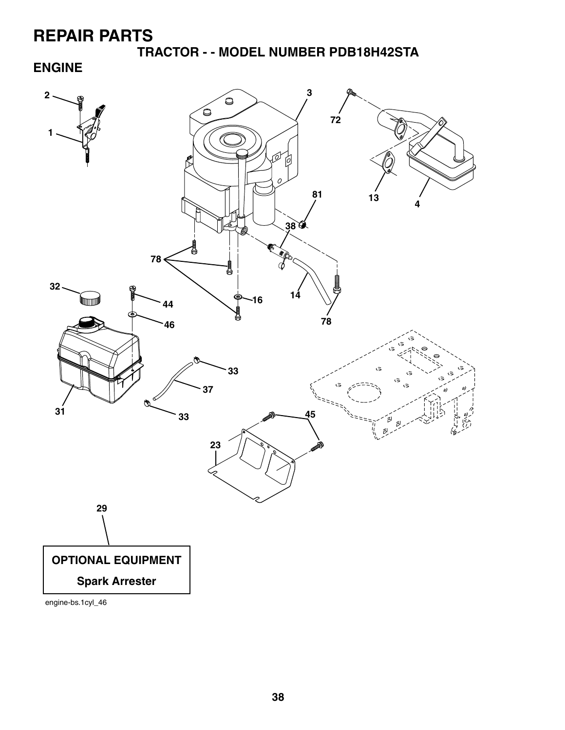**TRACTOR - - MODEL NUMBER PDB18H42STA**

**ENGINE**



engine-bs.1cyl\_46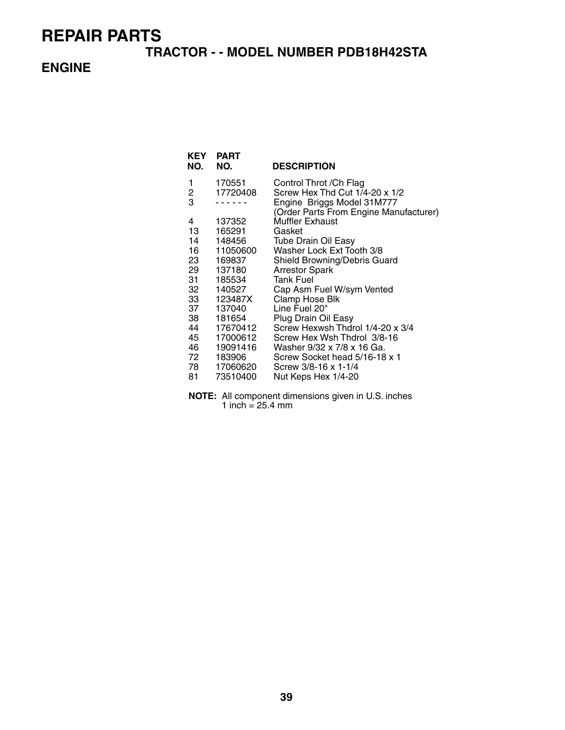#### **TRACTOR - - MODEL NUMBER PDB18H42STA**

#### **ENGINE**

| KEY            | <b>PART</b> |                                                                      |
|----------------|-------------|----------------------------------------------------------------------|
| NO.            | NO.         | <b>DESCRIPTION</b>                                                   |
| 1              | 170551      | Control Throt / Ch Flag                                              |
| $\overline{c}$ | 17720408    | Screw Hex Thd Cut 1/4-20 x 1/2                                       |
| 3              |             | Engine Briggs Model 31M777<br>(Order Parts From Engine Manufacturer) |
| 4              | 137352      | Muffler Exhaust                                                      |
| 13             | 165291      | Gasket                                                               |
| 14             | 148456      | <b>Tube Drain Oil Easy</b>                                           |
| 16 —           | 11050600    | Washer Lock Ext Tooth 3/8                                            |
| 23             | 169837      | Shield Browning/Debris Guard                                         |
| 29             | 137180      | <b>Arrestor Spark</b>                                                |
| 31             | 185534      | <b>Tank Fuel</b>                                                     |
| 32             | 140527      | Cap Asm Fuel W/sym Vented                                            |
|                | 33 123487X  | Clamp Hose Blk                                                       |
| 37             | 137040      | Line Fuel 20"                                                        |
| 38             | 181654      | Plug Drain Oil Easy                                                  |
| 44             | 17670412    | Screw Hexwsh Thdrol 1/4-20 x 3/4                                     |
| 45             | 17000612    | Screw Hex Wsh Thdrol 3/8-16                                          |
| 46 —           | 19091416    | Washer 9/32 x 7/8 x 16 Ga.                                           |
| 72 —           | 183906      | Screw Socket head 5/16-18 x 1                                        |
|                | 78 17060620 | Screw 3/8-16 x 1-1/4                                                 |
| 81             | 73510400    | Nut Keps Hex 1/4-20                                                  |

**NOTE:** All component dimensions given in U.S. inches 1 inch =  $25.4 \, \text{mm}$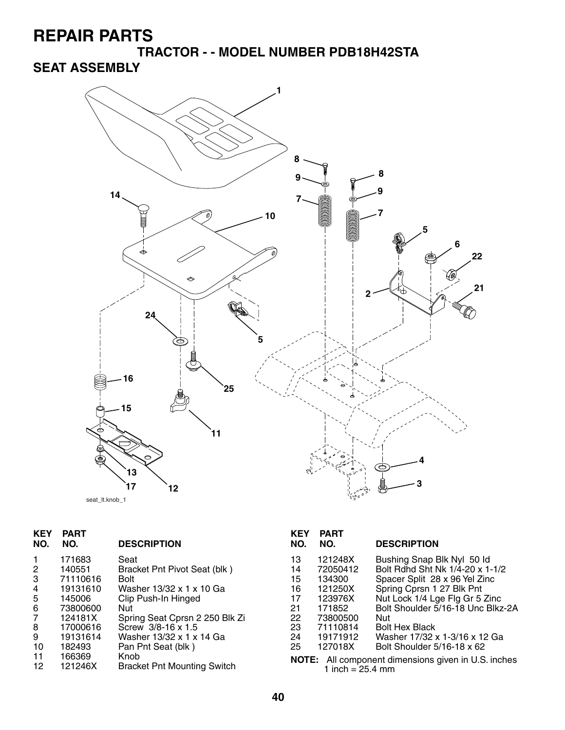**TRACTOR - - MODEL NUMBER PDB18H42STA**

### **SEAT ASSEMBLY**



| <b>KEY</b><br>NO. | <b>PART</b><br>NO. | <b>DESCRIPTION</b>                         | <b>KEY</b><br>NO. | <b>PART</b><br>NO.         | <b>DESCRIPTION</b>                                         |
|-------------------|--------------------|--------------------------------------------|-------------------|----------------------------|------------------------------------------------------------|
| 1.                | 171683             | Seat                                       | 13                | 121248X                    | Bushing Snap Blk Nyl 50 ld                                 |
| 2                 | 140551             | Bracket Pnt Pivot Seat (blk)               | 14                | 72050412                   | Bolt Rdhd Sht Nk 1/4-20 x 1-1/2                            |
| 3                 | 71110616           | <b>Bolt</b>                                | 15                | 134300                     | Spacer Split 28 x 96 Yel Zinc                              |
| 4                 | 19131610           | Washer 13/32 x 1 x 10 Ga                   | 16                | 121250X                    | Spring Cprsn 1 27 Blk Pnt                                  |
| 5                 | 145006             | Clip Push-In Hinged                        | 17                | 123976X                    | Nut Lock 1/4 Lge Flg Gr 5 Zinc                             |
| 6                 | 73800600           | Nut                                        | 21                | 171852                     | Bolt Shoulder 5/16-18 Unc Blkz-2A                          |
| $\overline{7}$    | 124181X            | Spring Seat Cprsn 2 250 Blk Zi             | 22                | 73800500                   | Nut                                                        |
| 8                 | 17000616           | Screw 3/8-16 x 1.5                         | 23                | 71110814                   | <b>Bolt Hex Black</b>                                      |
| 9                 | 19131614           | Washer 13/32 x 1 x 14 Ga                   | 24                | 19171912                   | Washer 17/32 x 1-3/16 x 12 Ga                              |
| 10                | 182493             | Pan Pnt Seat (blk)                         | 25                | 127018X                    | Bolt Shoulder 5/16-18 x 62                                 |
| 11<br>12          | 166369<br>121246X  | Knob<br><b>Bracket Pnt Mounting Switch</b> |                   | 1 inch = $25.4 \text{ mm}$ | <b>NOTE:</b> All component dimensions given in U.S. inches |

| KEY<br>NO. | <b>PART</b><br>NO.                                         | <b>DESCRIPTION</b>                |  |  |
|------------|------------------------------------------------------------|-----------------------------------|--|--|
| 13         | 121248X                                                    | Bushing Snap Blk Nyl 50 ld        |  |  |
| 14         | 72050412                                                   | Bolt Rdhd Sht Nk 1/4-20 x 1-1/2   |  |  |
| 15         | 134300                                                     | Spacer Split 28 x 96 Yel Zinc     |  |  |
| 16         | 121250X                                                    | Spring Cprsn 1 27 Blk Pnt         |  |  |
| 17         | 123976X                                                    | Nut Lock 1/4 Lge Flg Gr 5 Zinc    |  |  |
| 21         | 171852                                                     | Bolt Shoulder 5/16-18 Unc Blkz-2A |  |  |
| 22         | 73800500                                                   | Nut                               |  |  |
| 23         | 71110814                                                   | <b>Bolt Hex Black</b>             |  |  |
| 24         | 19171912                                                   | Washer 17/32 x 1-3/16 x 12 Ga     |  |  |
| 25         | 127018X                                                    | Bolt Shoulder 5/16-18 x 62        |  |  |
|            | <b>NOTE:</b> All component dimensions given in U.S. inches |                                   |  |  |
|            | 1 inch = $25.4 \text{ mm}$                                 |                                   |  |  |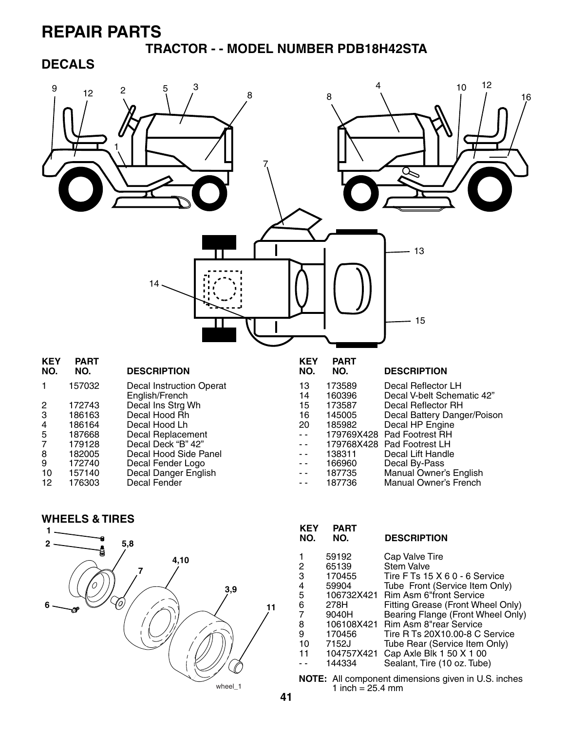**TRACTOR - - MODEL NUMBER PDB18H42STA**

#### **DECALS**



**WHEELS & TIRES**



| <b>KEY</b><br>NO. | <b>PART</b><br>NO. | <b>DESCRIPTION</b>                |
|-------------------|--------------------|-----------------------------------|
|                   | 59192              | Cap Valve Tire                    |
| 2                 | 65139              | <b>Stem Valve</b>                 |
| 3                 | 170455             | Tire F Ts 15 X 6 0 - 6 Service    |
| 4                 | 59904              | Tube Front (Service Item Only)    |
| 5                 | 106732X421         | <b>Rim Asm 6"front Service</b>    |
| 6                 | 278H               | Fitting Grease (Front Wheel Only) |
| 7                 | 9040H              | Bearing Flange (Front Wheel Only) |
| 8                 | 106108X421         | Rim Asm 8"rear Service            |
| 9                 | 170456             | Tire R Ts 20X10.00-8 C Service    |
| 10                | 7152J              | Tube Rear (Service Item Only)     |
| 11                | 104757X421         | Cap Axle Blk 1 50 X 1 00          |
|                   | 144334             | Sealant, Tire (10 oz. Tube)       |
|                   |                    |                                   |

**NOTE:** All component dimensions given in U.S. inches 1 inch  $= 25.4$  mm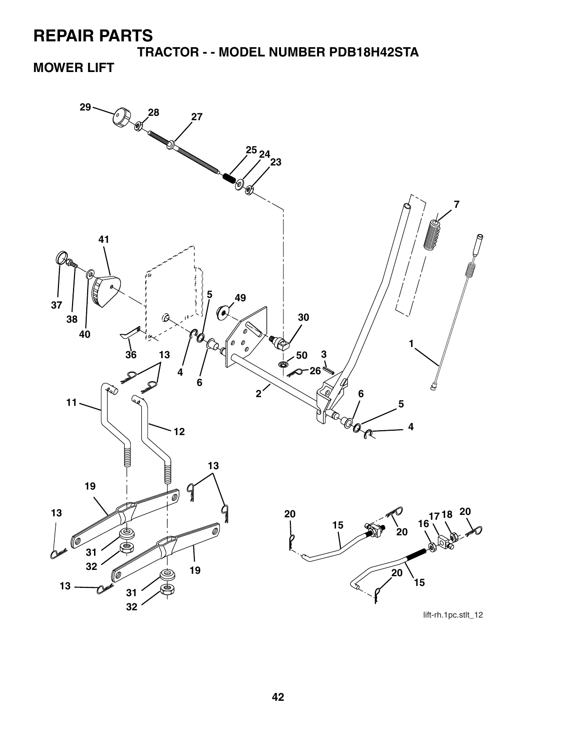**TRACTOR - - MODEL NUMBER PDB18H42STA**

### **MOWER LIFT**



lift-rh.1pc.stlt\_12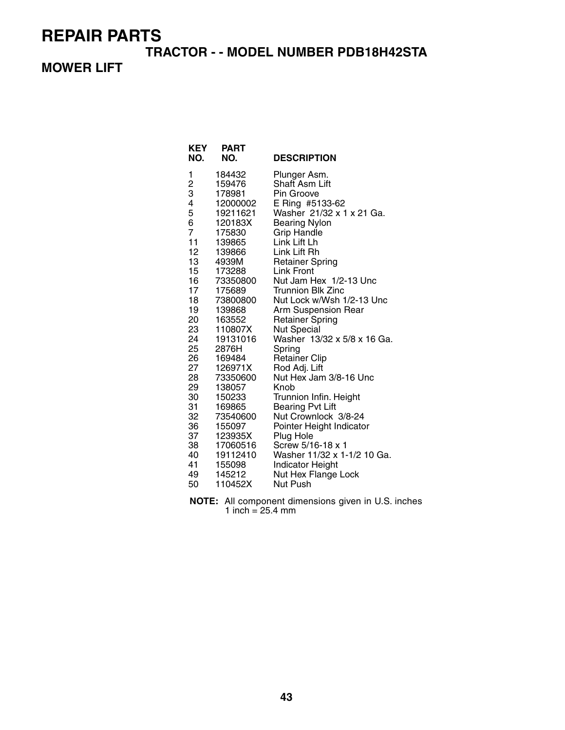#### **TRACTOR - - MODEL NUMBER PDB18H42STA**

#### **MOWER LIFT**

| KEY<br>NO.       | PART<br>NO.         | <b>DESCRIPTION</b>                                |
|------------------|---------------------|---------------------------------------------------|
| 1                | 184432              | Plunger Asm.                                      |
| $\frac{2}{3}$    | 159476              | Shaft Asm Lift                                    |
|                  | 178981              | Pin Groove                                        |
| 4                | 12000002            | E Ring #5133-62<br>Washer 21/32 x 1 x 21 Ga.      |
| 5<br>6           | 19211621<br>120183X | <b>Bearing Nylon</b>                              |
| 7                | 175830              | <b>Grip Handle</b>                                |
| 11               | 139865              | Link Lift Lh                                      |
| 12 <sup>2</sup>  | 139866              | Link Lift Rh                                      |
| 13 <sub>1</sub>  | 4939M               | <b>Retainer Spring</b>                            |
| 15 <sub>15</sub> | 173288              | Link Front                                        |
| 16               | 73350800            | Nut Jam Hex 1/2-13 Unc                            |
| 17 <sub>1</sub>  | 175689              | <b>Trunnion Blk Zinc</b>                          |
| 18               | 73800800            | Nut Lock w/Wsh 1/2-13 Unc                         |
| 19               | 139868              | Arm Suspension Rear                               |
| 20               | 163552              | <b>Retainer Spring</b>                            |
| 23<br>24         | 110807X             | <b>Nut Special</b><br>Washer 13/32 x 5/8 x 16 Ga. |
| 25 <sub>2</sub>  | 19131016<br>2876H   | Spring                                            |
| 26               | 169484              | <b>Retainer Clip</b>                              |
| 27               | 126971X             | Rod Adj. Lift                                     |
| 28               | 73350600            | Nut Hex Jam 3/8-16 Unc                            |
| 29               | 138057              | Knob                                              |
| 30               | 150233              | Trunnion Infin. Height                            |
| 31               | 169865              | <b>Bearing Pvt Lift</b>                           |
| 32               | 73540600            | Nut Crownlock 3/8-24                              |
| 36               | 155097              | Pointer Height Indicator                          |
| 37               | 123935X             | Plug Hole                                         |
| 38               | 17060516            | Screw 5/16-18 x 1                                 |
| 40<br>41         | 19112410<br>155098  | Washer 11/32 x 1-1/2 10 Ga.<br>Indicator Height   |
| 49               | 145212              | Nut Hex Flange Lock                               |
| 50               | 110452X             | Nut Push                                          |
|                  |                     |                                                   |

**NOTE:** All component dimensions given in U.S. inches 1 inch = 25.4 mm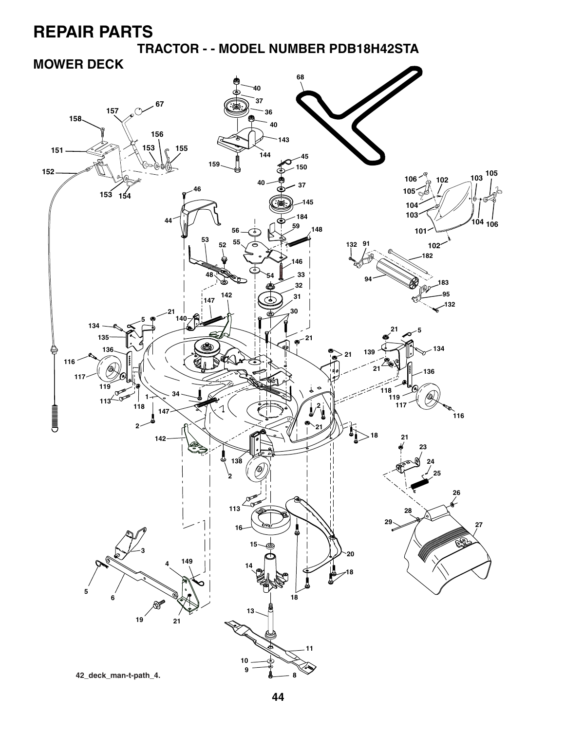**TRACTOR - - MODEL NUMBER PDB18H42STA**

### **MOWER DECK**